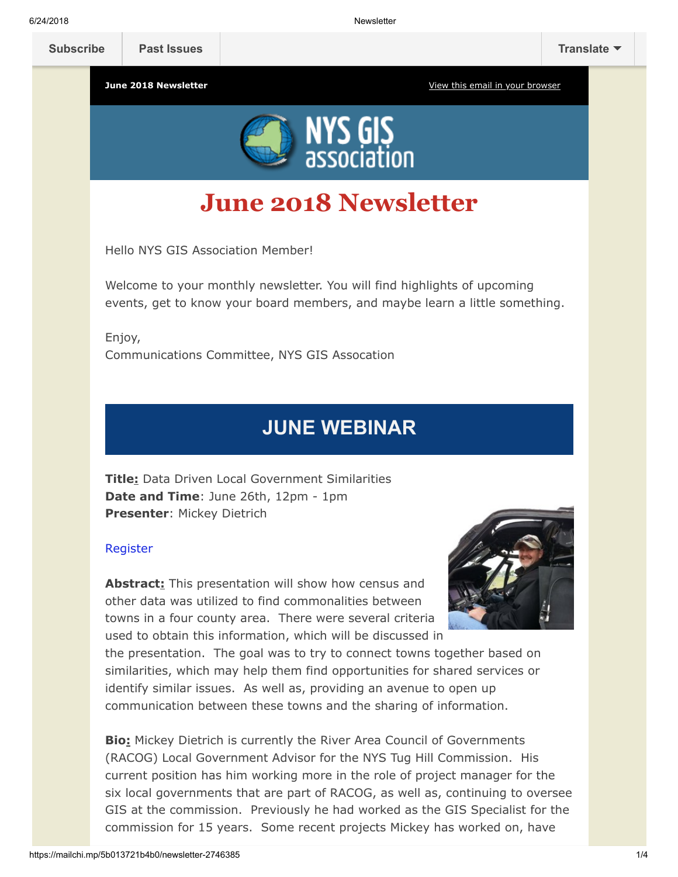**[Subscribe](http://eepurl.com/c1OotD) [Past Issues](https://us9.campaign-archive.com/home/?u=79136ebe8b18b11ee073cc61c&id=787fea6e72) [Translate](javascript:;)**

**June 2018 Newsletter [View this email in your browser](https://mailchi.mp/5b013721b4b0/newsletter-2746385?e=[UNIQID])** 



# **June 2018 Newsletter**

Hello NYS GIS Association Member!

Welcome to your monthly newsletter. You will find highlights of upcoming events, get to know your board members, and maybe learn a little something.

Enjoy, Communications Committee, NYS GIS Assocation

## **JUNE WEBINAR**

**Title:** Data Driven Local Government Similarities **Date and Time**: June 26th, 12pm - 1pm **Presenter**: Mickey Dietrich

### [Register](https://nysgisa.clickmeeting.com/data-driven-local-government-similarities/register)

**Abstract:** This presentation will show how census and other data was utilized to find commonalities between towns in a four county area. There were several criteria used to obtain this information, which will be discussed in



the presentation. The goal was to try to connect towns together based on similarities, which may help them find opportunities for shared services or identify similar issues. As well as, providing an avenue to open up communication between these towns and the sharing of information.

**Bio:** Mickey Dietrich is currently the River Area Council of Governments (RACOG) Local Government Advisor for the NYS Tug Hill Commission. His current position has him working more in the role of project manager for the six local governments that are part of RACOG, as well as, continuing to oversee GIS at the commission. Previously he had worked as the GIS Specialist for the commission for 15 years. Some recent projects Mickey has worked on, have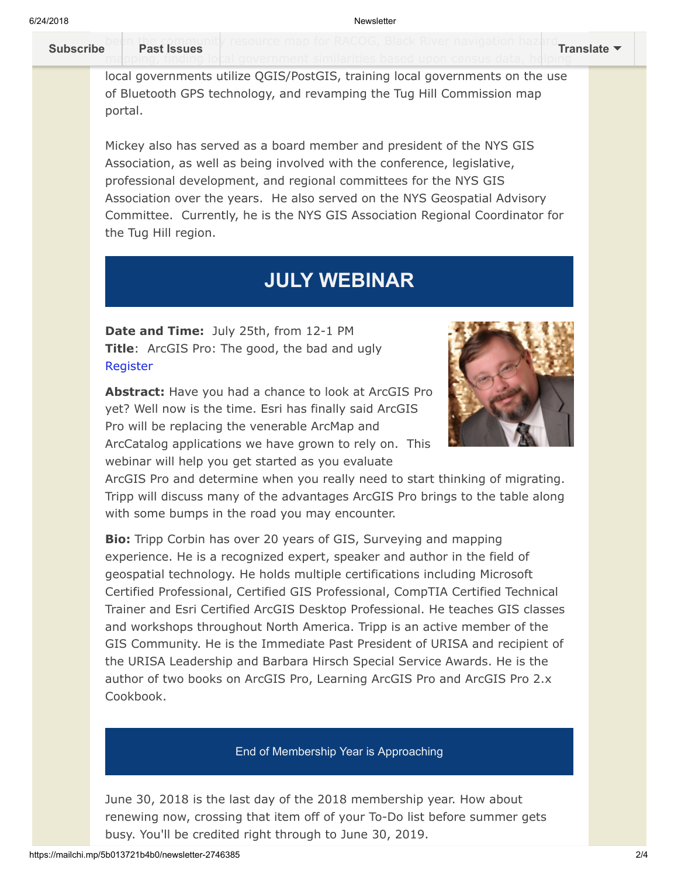#### be[en the community](https://us9.campaign-archive.com/home/?u=79136ebe8b18b11ee073cc61c&id=787fea6e72) resource map for RACOG, Black River navigation hazard. mapping, finding local government similarities based upon census data, helping **[Subscribe](http://eepurl.com/c1OotD) Past Issues [Translate](javascript:;)**

local governments utilize QGIS/PostGIS, training local governments on the use of Bluetooth GPS technology, and revamping the Tug Hill Commission map portal.

Mickey also has served as a board member and president of the NYS GIS Association, as well as being involved with the conference, legislative, professional development, and regional committees for the NYS GIS Association over the years. He also served on the NYS Geospatial Advisory Committee. Currently, he is the NYS GIS Association Regional Coordinator for the Tug Hill region.

## **JULY WEBINAR**

**Date and Time:** July 25th, from 12-1 PM **Title:** ArcGIS Pro: The good, the bad and ugly [Register](http://%20https//nysgisa.clickmeeting.com/arcgis-pro-the-good-the-bad-and-ugly/register)

**Abstract:** Have you had a chance to look at ArcGIS Pro yet? Well now is the time. Esri has finally said ArcGIS Pro will be replacing the venerable ArcMap and ArcCatalog applications we have grown to rely on. This webinar will help you get started as you evaluate



ArcGIS Pro and determine when you really need to start thinking of migrating. Tripp will discuss many of the advantages ArcGIS Pro brings to the table along with some bumps in the road you may encounter.

**Bio:** Tripp Corbin has over 20 years of GIS, Surveying and mapping experience. He is a recognized expert, speaker and author in the field of geospatial technology. He holds multiple certifications including Microsoft Certified Professional, Certified GIS Professional, CompTIA Certified Technical Trainer and Esri Certified ArcGIS Desktop Professional. He teaches GIS classes and workshops throughout North America. Tripp is an active member of the GIS Community. He is the Immediate Past President of URISA and recipient of the URISA Leadership and Barbara Hirsch Special Service Awards. He is the author of two books on ArcGIS Pro, Learning ArcGIS Pro and ArcGIS Pro 2.x Cookbook.

### End of Membership Year is Approaching

June 30, 2018 is the last day of the 2018 membership year. How about renewing now, crossing that item off of your To-Do list before summer gets busy. You'll be credited right through to June 30, 2019.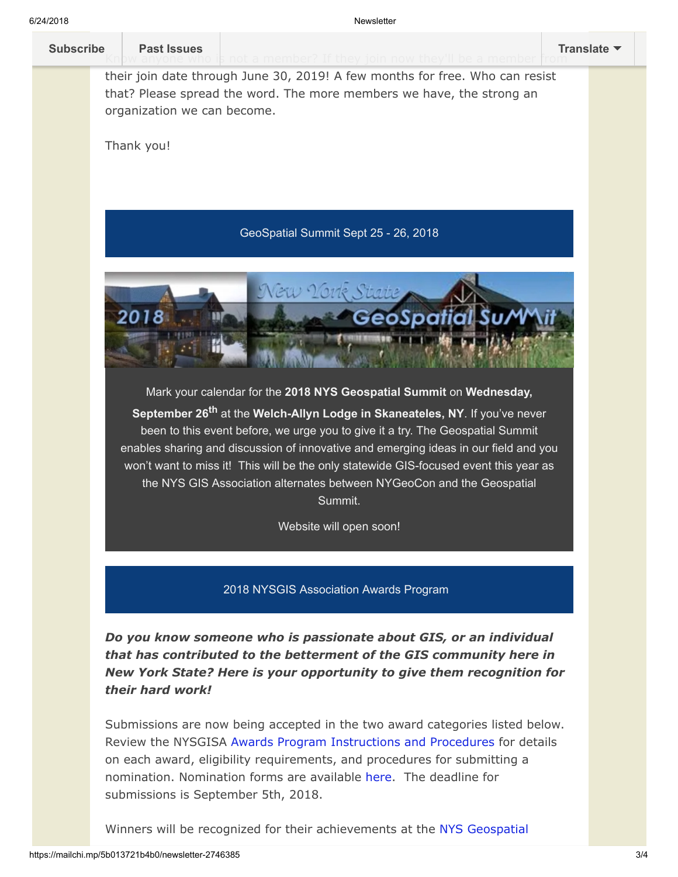6/24/2018 Newsletter **[Subscribe](http://eepurl.com/c1OotD) Past Issues [Translate](javascript:;)**their join date through June 30, 2019! A few months for free. Who can resist that? Please spread the word. The more members we have, the strong an organization we can become. Thank you! GeoSpatial Summit Sept 25 - 26, 2018 oSpai Mark your calendar for the **2018 NYS Geospatial Summit** on **Wednesday, September 26th** at the **Welch-Allyn Lodge in Skaneateles, NY**. If you've never been to this event before, we urge you to give it a try. The Geospatial Summit enables sharing and discussion of innovative and emerging ideas in our field and you won't want to miss it! This will be the only statewide GIS-focused event this year as the NYS GIS Association alternates between NYGeoCon and the Geospatial Summit. Website will open soon! 2018 NYSGIS Association Awards Program *Do you know someone who is passionate about GIS, or an individual that has contributed to the betterment of the GIS community here in New York State? Here is your opportunity to give them recognition for their hard work!*

> Submissions are now being accepted in the two award categories listed below. Review the NYSGISA [Awards Program Instructions and Procedures](https://res.cloudinary.com/nysgisassociation/image/upload/v1525443107/2018-NYSGISAwardProgram_Procedures_r6cuv3.pdf) for details on each award, eligibility requirements, and procedures for submitting a nomination. Nomination forms are available [here.](https://nysgis.net/Docs/Awards/2018/NYSGISA_Award_Form.docx) The deadline for submissions is September 5th, 2018.

[Winners will be recognized for their achievements at the NYS Geospatial](https://geosummit.nysgis.net/2018/)